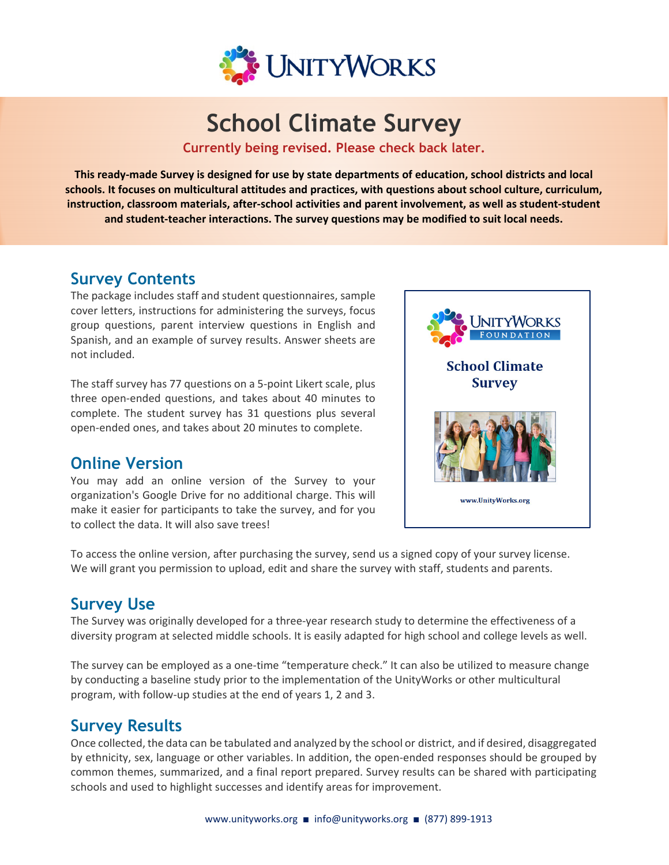

# **School Climate Survey**

**Currently being revised. Please check back later.** 

This ready-made Survey is designed for use by state departments of education, school districts and local **schools. It focuses on multicultural attitudes and practices, with questions about school culture, curriculum, instruction, classroom materials, after‐school activities and parent involvement, as well as student‐student and student‐teacher interactions. The survey questions may be modified to suit local needs.**

### **Survey Contents**

The package includes staff and student questionnaires, sample cover letters, instructions for administering the surveys, focus group questions, parent interview questions in English and Spanish, and an example of survey results. Answer sheets are not included.

The staff survey has 77 questions on a 5‐point Likert scale, plus three open‐ended questions, and takes about 40 minutes to complete. The student survey has 31 questions plus several open‐ended ones, and takes about 20 minutes to complete.

### **Online Version**

You may add an online version of the Survey to your organization's Google Drive for no additional charge. This will make it easier for participants to take the survey, and for you to collect the data. It will also save trees!



To access the online version, after purchasing the survey, send us a signed copy of your survey license. We will grant you permission to upload, edit and share the survey with staff, students and parents.

### **Survey Use**

The Survey was originally developed for a three‐year research study to determine the effectiveness of a diversity program at selected middle schools. It is easily adapted for high school and college levels as well.

The survey can be employed as a one-time "temperature check." It can also be utilized to measure change by conducting a baseline study prior to the implementation of the UnityWorks or other multicultural program, with follow‐up studies at the end of years 1, 2 and 3.

### **Survey Results**

Once collected, the data can be tabulated and analyzed by the school or district, and if desired, disaggregated by ethnicity, sex, language or other variables. In addition, the open‐ended responses should be grouped by common themes, summarized, and a final report prepared. Survey results can be shared with participating schools and used to highlight successes and identify areas for improvement.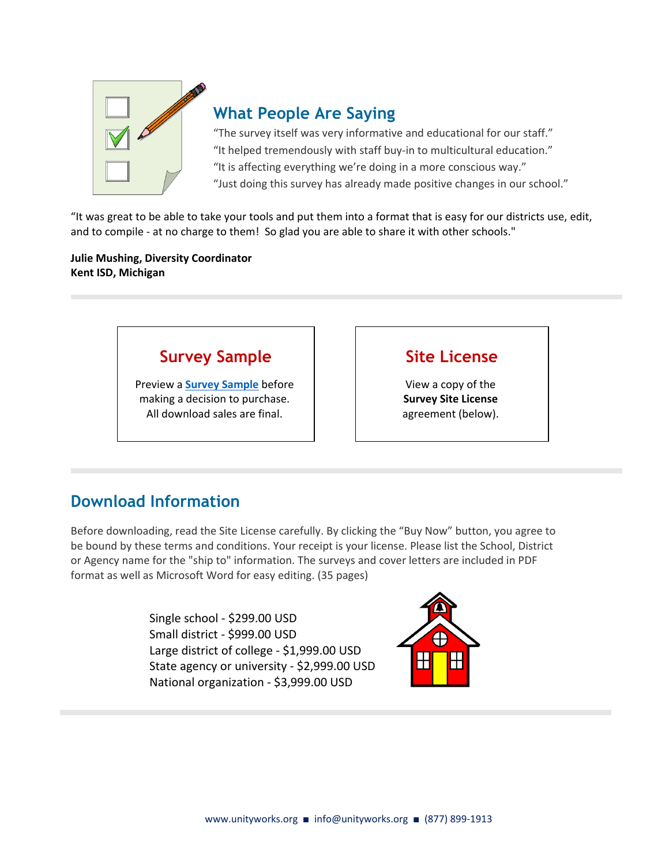

### **What People Are Saying**

"The survey itself was very informative and educational for our staff." "It helped tremendously with staff buy‐in to multicultural education." "It is affecting everything we're doing in a more conscious way." "Just doing this survey has already made positive changes in our school."

"It was great to be able to take your tools and put them into a format that is easy for our districts use, edit, and to compile - at no charge to them! So glad you are able to share it with other schools."

**Julie Mushing, Diversity Coordinator Kent ISD, Michigan**

### **[Survey Sample](https://www.unityworks.org/wp-content/uploads/2022/04/UnityWorks-School-Survey-SAMPLE.pdf)**

Preview a **Survey Sample** before making a decision to purchase. All download sales are final.

## **Site License**

View a copy of the **Survey Site License** agreement (below).

# **Download Information**

Before downloading, read the Site License carefully. By clicking the "Buy Now" button, you agree to be bound by these terms and conditions. Your receipt is your license. Please list the School, District or Agency name for the "ship to" information. The surveys and cover letters are included in PDF format as well as Microsoft Word for easy editing. (35 pages)

> Single school ‐ \$299.00 USD Small district ‐ \$999.00 USD Large district of college ‐ \$1,999.00 USD State agency or university ‐ \$2,999.00 USD National organization ‐ \$3,999.00 USD

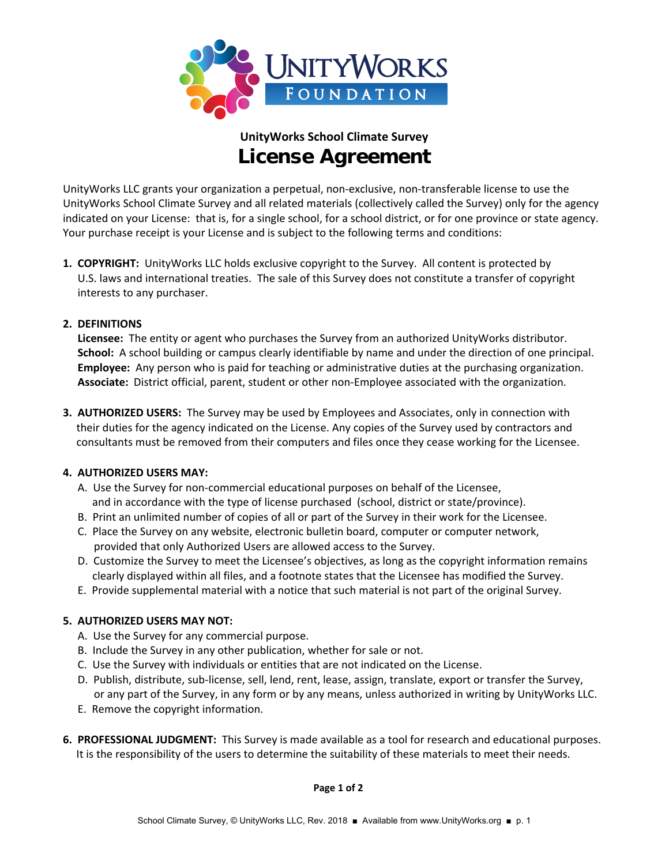

# **UnityWorks School Climate Survey License Agreement**

UnityWorks LLC grants your organization a perpetual, non‐exclusive, non‐transferable license to use the UnityWorks School Climate Survey and all related materials (collectively called the Survey) only for the agency indicated on your License: that is, for a single school, for a school district, or for one province or state agency. Your purchase receipt is your License and is subject to the following terms and conditions:

**1. COPYRIGHT:** UnityWorks LLC holds exclusive copyright to the Survey. All content is protected by U.S. laws and international treaties. The sale of this Survey does not constitute a transfer of copyright interests to any purchaser.

#### **2. DEFINITIONS**

**Licensee:** The entity or agent who purchases the Survey from an authorized UnityWorks distributor. **School:** A school building or campus clearly identifiable by name and under the direction of one principal. **Employee:** Any person who is paid for teaching or administrative duties at the purchasing organization. Associate: District official, parent, student or other non-Employee associated with the organization.

**3. AUTHORIZED USERS:** The Survey may be used by Employees and Associates, only in connection with their duties for the agency indicated on the License. Any copies of the Survey used by contractors and consultants must be removed from their computers and files once they cease working for the Licensee.

#### **4. AUTHORIZED USERS MAY:**

- A. Use the Survey for non‐commercial educational purposes on behalf of the Licensee, and in accordance with the type of license purchased (school, district or state/province).
- B. Print an unlimited number of copies of all or part of the Survey in their work for the Licensee.
- C. Place the Survey on any website, electronic bulletin board, computer or computer network, provided that only Authorized Users are allowed access to the Survey.
- D. Customize the Survey to meet the Licensee's objectives, as long as the copyright information remains clearly displayed within all files, and a footnote states that the Licensee has modified the Survey.
- E. Provide supplemental material with a notice that such material is not part of the original Survey.

#### **5. AUTHORIZED USERS MAY NOT:**

- A. Use the Survey for any commercial purpose.
- B. Include the Survey in any other publication, whether for sale or not.
- C. Use the Survey with individuals or entities that are not indicated on the License.
- D. Publish, distribute, sub‐license, sell, lend, rent, lease, assign, translate, export or transfer the Survey, or any part of the Survey, in any form or by any means, unless authorized in writing by UnityWorks LLC.
- E. Remove the copyright information.
- **6. PROFESSIONAL JUDGMENT:** This Survey is made available as a tool for research and educational purposes. It is the responsibility of the users to determine the suitability of these materials to meet their needs.

 **Page <sup>1</sup> of <sup>2</sup>**